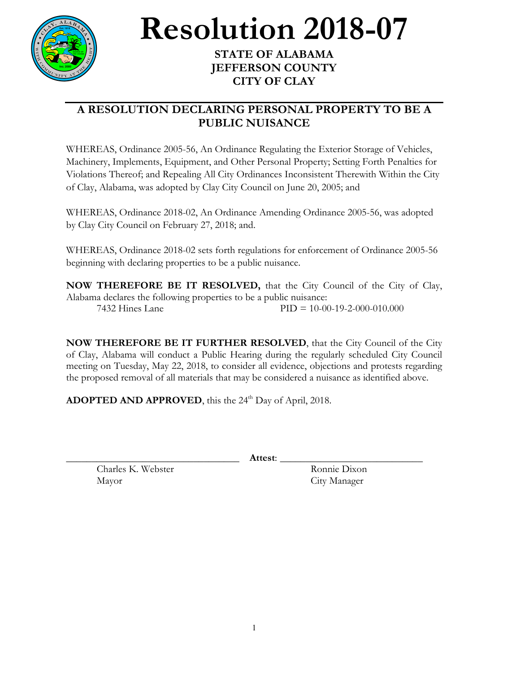

**Resolution** 2018-07

## **JEFFERSON COUNTY CITY OF CLAY**

## **A RESOLUTION DECLARING PERSONAL PROPERTY TO BE A PUBLIC NUISANCE**

WHEREAS, Ordinance 2005-56, An Ordinance Regulating the Exterior Storage of Vehicles, Machinery, Implements, Equipment, and Other Personal Property; Setting Forth Penalties for Violations Thereof; and Repealing All City Ordinances Inconsistent Therewith Within the City of Clay, Alabama, was adopted by Clay City Council on June 20, 2005; and

WHEREAS, Ordinance 2018-02, An Ordinance Amending Ordinance 2005-56, was adopted by Clay City Council on February 27, 2018; and.

WHEREAS, Ordinance 2018-02 sets forth regulations for enforcement of Ordinance 2005-56 beginning with declaring properties to be a public nuisance.

**NOW THEREFORE BE IT RESOLVED,** that the City Council of the City of Clay, Alabama declares the following properties to be a public nuisance: 7432 Hines Lane PID = 10-00-19-2-000-010.000

**NOW THEREFORE BE IT FURTHER RESOLVED**, that the City Council of the City of Clay, Alabama will conduct a Public Hearing during the regularly scheduled City Council meeting on Tuesday, May 22, 2018, to consider all evidence, objections and protests regarding the proposed removal of all materials that may be considered a nuisance as identified above.

**ADOPTED AND APPROVED**, this the 24<sup>th</sup> Day of April, 2018.

\_\_\_\_\_\_\_\_\_\_\_\_\_\_\_\_\_\_\_\_\_\_\_\_\_\_\_\_\_\_\_\_\_\_ **Attest**: \_\_\_\_\_\_\_\_\_\_\_\_\_\_\_\_\_\_\_\_\_\_\_\_\_\_\_\_

Charles K. Webster Ronnie Dixon Mayor City Manager